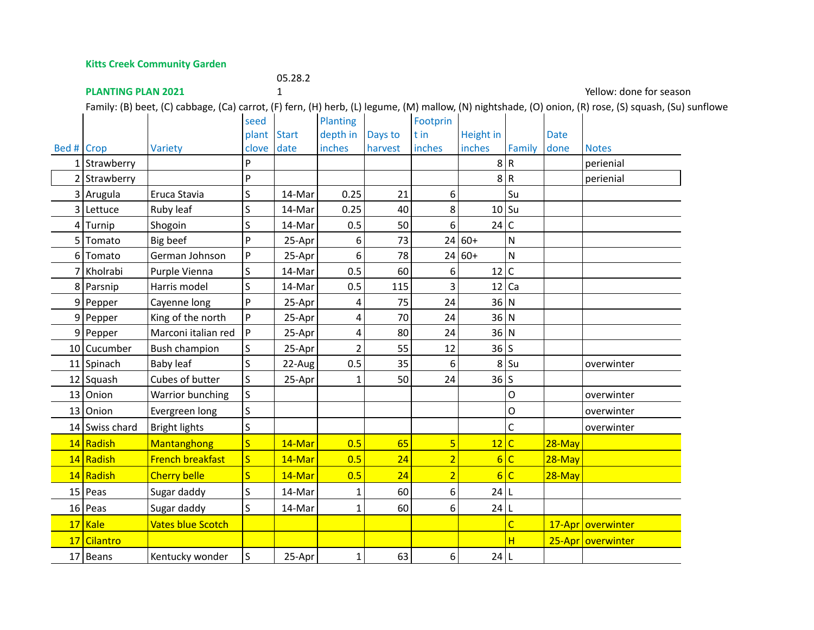**Kitts Creek Community Garden**

**PLANTING PLAN 2021**

05.28.2

1 Yellow: done for season

Family: (B) beet, (C) cabbage, (Ca) carrot, (F) fern, (H) herb, (L) legume, (M) mallow, (N) nightshade, (O) onion, (R) rose, (S) squash, (Su) sunflower,

|            |                |                          | seed                    |              | Planting       |         | Footprin       |                 |                         |             |                     |
|------------|----------------|--------------------------|-------------------------|--------------|----------------|---------|----------------|-----------------|-------------------------|-------------|---------------------|
|            |                |                          | plant                   | <b>Start</b> | depth in       | Days to | t in           | Height in       |                         | <b>Date</b> |                     |
| Bed # Crop |                | Variety                  | clove                   | date         | inches         | harvest | inches         | inches          | Family                  | done        | <b>Notes</b>        |
|            | $1$ Strawberry |                          | P                       |              |                |         |                |                 | 8 R                     |             | perienial           |
|            | $2$ Strawberry |                          | P                       |              |                |         |                | 8 R             |                         |             | perienial           |
|            | 3 Arugula      | Eruca Stavia             | S                       | 14-Mar       | 0.25           | 21      | 6              |                 | Su                      |             |                     |
|            | 3 Lettuce      | Ruby leaf                | S                       | 14-Mar       | 0.25           | 40      | 8              | $10$ Su         |                         |             |                     |
|            | $4$ Turnip     | Shogoin                  | S                       | 14-Mar       | 0.5            | 50      | 6              | 24 C            |                         |             |                     |
| 51         | Tomato         | Big beef                 | P                       | 25-Apr       | 6              | 73      |                | $24 60+$        | N                       |             |                     |
|            | 6 Tomato       | German Johnson           | P                       | 25-Apr       | 6              | 78      |                | $24 60+$        | $\mathsf{N}$            |             |                     |
|            | 7 Kholrabi     | Purple Vienna            | S                       | 14-Mar       | 0.5            | 60      | 6              | 12 C            |                         |             |                     |
|            | 8 Parsnip      | Harris model             | S                       | 14-Mar       | 0.5            | 115     | 3              | $12$ Ca         |                         |             |                     |
|            | $9$   Pepper   | Cayenne long             | P                       | 25-Apr       | 4              | 75      | 24             | 36 N            |                         |             |                     |
|            | $9$  Pepper    | King of the north        | P                       | 25-Apr       | 4              | 70      | 24             | 36 N            |                         |             |                     |
|            | 9 Pepper       | Marconi italian red      | P                       | 25-Apr       | 4              | 80      | 24             | 36 N            |                         |             |                     |
|            | 10 Cucumber    | <b>Bush champion</b>     | S                       | 25-Apr       | $\overline{2}$ | 55      | 12             | $36$ S          |                         |             |                     |
|            | 11 Spinach     | Baby leaf                | S                       | 22-Aug       | 0.5            | 35      | 6              |                 | $8$ Su                  |             | overwinter          |
|            | $12$ Squash    | Cubes of butter          | S                       | 25-Apr       | 1              | 50      | 24             | 36 S            |                         |             |                     |
|            | $13$ Onion     | Warrior bunching         | S                       |              |                |         |                |                 | 0                       |             | overwinter          |
|            | $13$ Onion     | Evergreen long           | S                       |              |                |         |                |                 | O                       |             | overwinter          |
|            | 14 Swiss chard | <b>Bright lights</b>     | S                       |              |                |         |                |                 | C                       |             | overwinter          |
|            | 14 Radish      | Mantanghong              | $\overline{\mathsf{S}}$ | 14-Mar       | 0.5            | 65      | 5              | 12              | $\overline{\mathsf{C}}$ | $28 - May$  |                     |
|            | 14 Radish      | <b>French breakfast</b>  | $\overline{\mathsf{S}}$ | 14-Mar       | 0.5            | 24      | $\overline{2}$ | $6\overline{6}$ | $\overline{\mathsf{C}}$ | $28 - May$  |                     |
|            | 14 Radish      | <b>Cherry belle</b>      | S.                      | 14-Mar       | 0.5            | 24      | $\overline{2}$ | $6\overline{6}$ | $\mathsf{C}$            | $28 - May$  |                     |
|            | $15$ Peas      | Sugar daddy              | S                       | 14-Mar       | 1              | 60      | 6              | $24$  L         |                         |             |                     |
|            | $16$ Peas      | Sugar daddy              | S                       | 14-Mar       | $\mathbf{1}$   | 60      | 6              | 24 L            |                         |             |                     |
|            | $17$ Kale      | <b>Vates blue Scotch</b> |                         |              |                |         |                |                 | $\overline{C}$          |             | 17-Apr   overwinter |
| 17         | Cilantro       |                          |                         |              |                |         |                |                 | H                       |             | 25-Apr   overwinter |
|            | $17$ Beans     | Kentucky wonder          | S                       | 25-Apr       | $\mathbf{1}$   | 63      | 6              | $24$  L         |                         |             |                     |